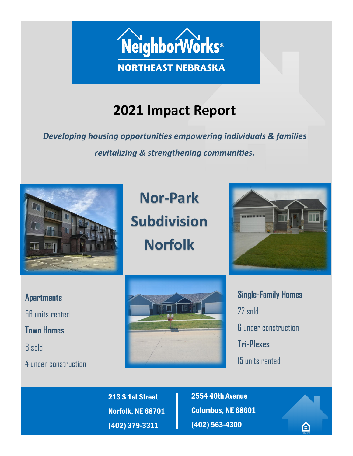

# **2021 Impact Report**

*Developing housing opportunities empowering individuals & families revitalizing & strengthening communities.*



**Nor-Park Subdivision Norfolk**



**Apartments**  56 units rented **Town Homes**  8 sold

4 under construction



**Single-Family Homes**  22 sold 6 under construction **Tri-Plexes** 15 units rented

仚

213 S 1st Street Norfolk, NE 68701 (402) 379-3311

2554 40th Avenue Columbus, NE 68601 (402) 563-4300